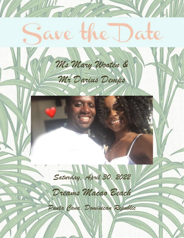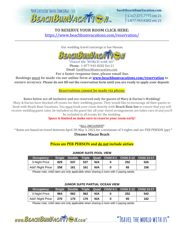

1.317.577.7775 ext 21 1.877.943.8282 ext 21

"TRAVFI THE WORLD WITH US"

# **TO RESERVE YOUR ROOM CLICK HERE:** <https://www.beachbumvacations.com/reservation/>

\_\_\_\_\_\_\_\_\_\_\_\_\_\_\_\_\_\_\_\_\_\_\_\_\_\_\_\_\_\_\_\_\_\_\_\_\_\_\_\_\_\_\_\_\_\_\_\_\_\_\_\_\_\_\_\_\_\_\_\_\_\_\_\_\_\_\_\_\_\_\_\_\_\_\_\_\_\_\_\_\_\_\_\_\_\_\_\_\_\_\_\_\_\_\_\_\_\_\_\_\_\_\_\_\_\_\_\_\_\_\_\_\_\_\_\_\_\_\_\_\_\_\_\_\_\_

Our wedding travel concierge is Sue Hassan



Phone: 1-877-943-8282 Ext 21 Email: Sue@beachbumvacation.com

**For a faster response time, please email Sue. Bookings must be made via our online form at [www.beachbumvacations.com/reservation](http://www.beachbumvacations.com/reservation) to** 

**ensure accuracy. Please do not fill out the reservation form until you are ready to apply your deposit.**

## **Reservations cannot be made via phone.**

**Rates below are all inclusive and are reserved only for guests of Mary & Darius's Wedding!**

Mary & Darius have blocked off rooms for their wedding guests. They would like to encourage all their guests to book with Beach Bum Vacations. You must book your room directly with **Beach Bum Sue** to ensure that you will receive wedding guest rates, be included on the guest list, all your travel arrangements are taken care of and you'll be included in all events for the wedding.

**Space is limited so make sure to reserve your room early!**

\*ALL-INCLUSIVE\*

\* Rates are based on travel between April 28-May 3, 2022 for a minimum of 3 nights and are PER PERSON (pp) \*

**Dreams Macao Beach**

# **Prices are PER PERSON and do not include airfare**

| <b>Occupancy</b>  |     |     |     |     |     | Single Double Triple Quad Child 0-1 Child 2-12 Child 13-17 |
|-------------------|-----|-----|-----|-----|-----|------------------------------------------------------------|
| 3-Night Price     | 829 | 537 | 537 | N/A | 252 | 526                                                        |
| Add'l Night Price | 258 | 161 | 161 | N/A | 65  | 158                                                        |

#### **JUNIOR SUITE POOL VIEW**

Please note, child rates are only applicable when sharing a room with 2 paying adults.

### **JUNIOR SUITE PARTIAL OCEAN VIEW**

| <b>Occupancy</b>  |     |     |     |     |     | Single Double Triple Quad Child 0-1 Child 2-12 Child 13-17 |
|-------------------|-----|-----|-----|-----|-----|------------------------------------------------------------|
| 3-Night Price     | 864 | 562 | 562 | N/A | 252 | 542                                                        |
| Add'l Night Price | 270 | 170 | 170 | N/A | 65  | 162                                                        |

Please note, child rates are only applicable when sharing a room with 2 paying adults.

www.BEACHBUMVACATTE M.com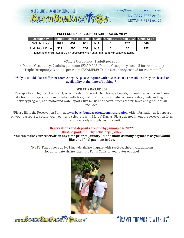

#### **PREFERRED CLUB JUNIOR SUITE OCEAN VIEW**

| <b>Occupancy</b>  |      |     |     |     |     | Single Double Triple Quad Child 0-1 Child 2-12 Child 13-17 |
|-------------------|------|-----|-----|-----|-----|------------------------------------------------------------|
| 3-Night Price     | 1011 | 651 | 651 | N/A | 252 | 640                                                        |
| Add'l Night Price | 319  | 200 | 200 | N/A | 65  | 192                                                        |

Please note, child rates are only applicable when sharing a room with 2 paying adults.

~Single Occupancy: 1 adult per room

~Double Occupancy: 2 adults per room (EXAMPLE: Double Occupancy cost x 2 for room total)  $\sim$ Triple Occupancy: 3 adults per room (EXAMPLE: Triple Occupancy cost x3 for room total)

#### \*\*\*If you would like a different room category, please inquire with Sue as soon as possible as they are based on availability at the time of booking\*\*\*

#### **WHAT'S INCLUDED?**

Transportation to/from the resort, accommodations as selected, taxes, all meals, unlimited alcoholic and nonalcoholic beverages, in-room mini-bar with beer, water, soft drinks (re-stocked once a day), daily and nightly activity program, non-motorized water sports, live music and shows, fitness center, taxes and gratuities all included.

\*Please fill in the Reservation Form at [www.beachbumvacations.com/reservation](http://www.beachbumvacations.com/reservation) with information as it appears on your passport to secure your room and celebrate with Mary & Darius! Please do not fill out the reservation form until you are ready to apply your deposit.

#### **Reservations and deposits are due by January 14, 2022. Must be paid in full by February 8, 2022.**

#### **You can make your reservation any time prior to January 14 and make as many payments as you would like until final payment is due.**

\*NOTE: Rates above do NOT include airfare. Inquire with Sue@beachbumvacation.com for up-to-date airfare rates into Punta Cana for your dates of travel.



www.BEACHBUMVACATTEN.com

"TRAVFI THE WORLD WITH US"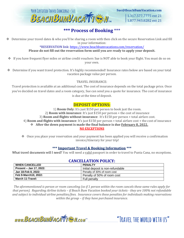

1.317.577.7775 ext 21 1.877.943.8282 ext 21

"TRAVEL THE WORLD WITH US"

# **\*\*\* Process of Booking** \*\*\*

❖ Determine your travel dates & who you'll be sharing a room with then click on the secure Reservation Link and fill in your information:

\*RESERVATION link:<https://www.beachbumvacations.com/reservation/>

## **Please do not fill out the reservation form until you are ready to apply your deposit.**

- ❖ If you have frequent flyer miles or airline credit vouchers Sue is NOT able to book your flight. You must do so on your own.
- ❖ Determine if you want travel protection. It's highly recommended! Insurance rates below are based on your total vacation package value per person.

## TRAVEL INSURANCE:

Travel protection is available at an additional cost. The cost of insurance depends on the total package price. Once you've decided on travel dates and a room category, Sue can send you a quote for insurance. The cost of insurance is due at the time of deposit.

# **DEPOSIT OPTIONS:**

1) **Room Only**: It's just \$150 per person to book just the room. 2) **Room with insurance**: It's just \$150 per person + the cost of insurance 3) **Room and flights without insurance**: It's \$150 per person + total airfare cost. 4) **Room and flights with insurance**: It's just \$150 per person + total airfare cost + the cost of insurance ❖ **After the down payment is made the final balance is due February 8, 2022. NO EXCEPTIONS**

❖ Once you place your reservation and your payment has been applied you will receive a confirmation invoice/itinerary for your trip!

## **\*\*\* Important Travel & Booking Information \*\*\***

What travel documents will I need? You will need a valid passport in order to travel to Punta Cana, no exceptions.

## **CANCELLATION POLICY:**

| <b>WHEN CANCELLED</b>   | <b>PENALTY</b>                    |
|-------------------------|-----------------------------------|
| Present – Jan 17, 2022: | Initial deposit is non-refundable |
| Jan 18-Feb 8, 2022:     | Penalty of 30% of room cost       |
| Feb 9-March10, 2022:    | Penalty of 50% of room cost       |
| March 11-Travel:        | Full penalty                      |

*The aforementioned is person or room canceling (so if 1 person within the room cancels these same rules apply for that person). Regarding Airline tickets – if Beach Bum Vacation booked your tickets - they are 100% not refundable and subject to individual airline penalties/fees. Insurance covers these penalties for individuals making reservations within the group – if they have purchased insurance.*